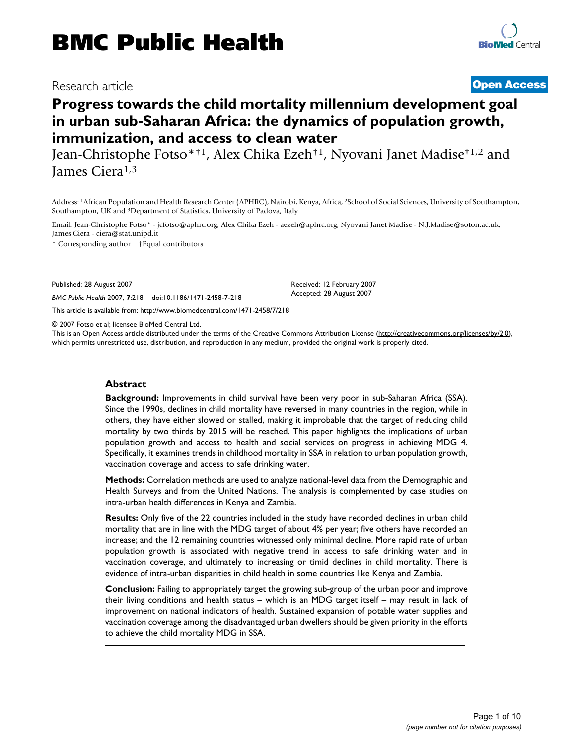# Research article **[Open Access](http://www.biomedcentral.com/info/about/charter/)**

# **Progress towards the child mortality millennium development goal in urban sub-Saharan Africa: the dynamics of population growth, immunization, and access to clean water**

Jean-Christophe Fotso\*†1, Alex Chika Ezeh†1, Nyovani Janet Madise†1,2 and James Ciera<sup>1,3</sup>

Address: 1African Population and Health Research Center (APHRC), Nairobi, Kenya, Africa, 2School of Social Sciences, University of Southampton, Southampton, UK and 3Department of Statistics, University of Padova, Italy

Email: Jean-Christophe Fotso\* - jcfotso@aphrc.org; Alex Chika Ezeh - aezeh@aphrc.org; Nyovani Janet Madise - N.J.Madise@soton.ac.uk; James Ciera - ciera@stat.unipd.it

\* Corresponding author †Equal contributors

Published: 28 August 2007

*BMC Public Health* 2007, **7**:218 doi:10.1186/1471-2458-7-218

[This article is available from: http://www.biomedcentral.com/1471-2458/7/218](http://www.biomedcentral.com/1471-2458/7/218)

© 2007 Fotso et al; licensee BioMed Central Ltd.

This is an Open Access article distributed under the terms of the Creative Commons Attribution License [\(http://creativecommons.org/licenses/by/2.0\)](http://creativecommons.org/licenses/by/2.0), which permits unrestricted use, distribution, and reproduction in any medium, provided the original work is properly cited.

Received: 12 February 2007 Accepted: 28 August 2007

#### **Abstract**

**Background:** Improvements in child survival have been very poor in sub-Saharan Africa (SSA). Since the 1990s, declines in child mortality have reversed in many countries in the region, while in others, they have either slowed or stalled, making it improbable that the target of reducing child mortality by two thirds by 2015 will be reached. This paper highlights the implications of urban population growth and access to health and social services on progress in achieving MDG 4. Specifically, it examines trends in childhood mortality in SSA in relation to urban population growth, vaccination coverage and access to safe drinking water.

**Methods:** Correlation methods are used to analyze national-level data from the Demographic and Health Surveys and from the United Nations. The analysis is complemented by case studies on intra-urban health differences in Kenya and Zambia.

**Results:** Only five of the 22 countries included in the study have recorded declines in urban child mortality that are in line with the MDG target of about 4% per year; five others have recorded an increase; and the 12 remaining countries witnessed only minimal decline. More rapid rate of urban population growth is associated with negative trend in access to safe drinking water and in vaccination coverage, and ultimately to increasing or timid declines in child mortality. There is evidence of intra-urban disparities in child health in some countries like Kenya and Zambia.

**Conclusion:** Failing to appropriately target the growing sub-group of the urban poor and improve their living conditions and health status – which is an MDG target itself – may result in lack of improvement on national indicators of health. Sustained expansion of potable water supplies and vaccination coverage among the disadvantaged urban dwellers should be given priority in the efforts to achieve the child mortality MDG in SSA.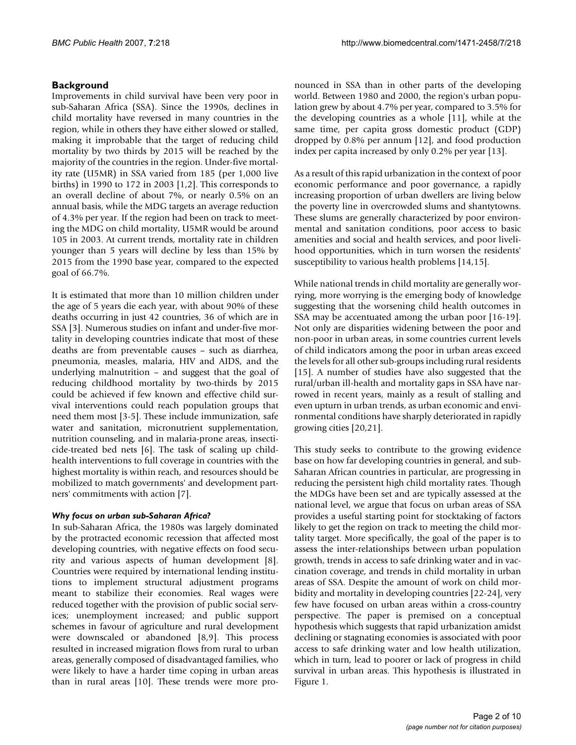# **Background**

Improvements in child survival have been very poor in sub-Saharan Africa (SSA). Since the 1990s, declines in child mortality have reversed in many countries in the region, while in others they have either slowed or stalled, making it improbable that the target of reducing child mortality by two thirds by 2015 will be reached by the majority of the countries in the region. Under-five mortality rate (U5MR) in SSA varied from 185 (per 1,000 live births) in 1990 to 172 in 2003 [1,2]. This corresponds to an overall decline of about 7%, or nearly 0.5% on an annual basis, while the MDG targets an average reduction of 4.3% per year. If the region had been on track to meeting the MDG on child mortality, U5MR would be around 105 in 2003. At current trends, mortality rate in children younger than 5 years will decline by less than 15% by 2015 from the 1990 base year, compared to the expected goal of 66.7%.

It is estimated that more than 10 million children under the age of 5 years die each year, with about 90% of these deaths occurring in just 42 countries, 36 of which are in SSA [3]. Numerous studies on infant and under-five mortality in developing countries indicate that most of these deaths are from preventable causes – such as diarrhea, pneumonia, measles, malaria, HIV and AIDS, and the underlying malnutrition – and suggest that the goal of reducing childhood mortality by two-thirds by 2015 could be achieved if few known and effective child survival interventions could reach population groups that need them most [3-5]. These include immunization, safe water and sanitation, micronutrient supplementation, nutrition counseling, and in malaria-prone areas, insecticide-treated bed nets [6]. The task of scaling up childhealth interventions to full coverage in countries with the highest mortality is within reach, and resources should be mobilized to match governments' and development partners' commitments with action [7].

### *Why focus on urban sub-Saharan Africa?*

In sub-Saharan Africa, the 1980s was largely dominated by the protracted economic recession that affected most developing countries, with negative effects on food security and various aspects of human development [8]. Countries were required by international lending institutions to implement structural adjustment programs meant to stabilize their economies. Real wages were reduced together with the provision of public social services; unemployment increased; and public support schemes in favour of agriculture and rural development were downscaled or abandoned [8,9]. This process resulted in increased migration flows from rural to urban areas, generally composed of disadvantaged families, who were likely to have a harder time coping in urban areas than in rural areas [10]. These trends were more pronounced in SSA than in other parts of the developing world. Between 1980 and 2000, the region's urban population grew by about 4.7% per year, compared to 3.5% for the developing countries as a whole [11], while at the same time, per capita gross domestic product (GDP) dropped by 0.8% per annum [12], and food production index per capita increased by only 0.2% per year [13].

As a result of this rapid urbanization in the context of poor economic performance and poor governance, a rapidly increasing proportion of urban dwellers are living below the poverty line in overcrowded slums and shantytowns. These slums are generally characterized by poor environmental and sanitation conditions, poor access to basic amenities and social and health services, and poor livelihood opportunities, which in turn worsen the residents' susceptibility to various health problems [14,15].

While national trends in child mortality are generally worrying, more worrying is the emerging body of knowledge suggesting that the worsening child health outcomes in SSA may be accentuated among the urban poor [16-19]. Not only are disparities widening between the poor and non-poor in urban areas, in some countries current levels of child indicators among the poor in urban areas exceed the levels for all other sub-groups including rural residents [15]. A number of studies have also suggested that the rural/urban ill-health and mortality gaps in SSA have narrowed in recent years, mainly as a result of stalling and even upturn in urban trends, as urban economic and environmental conditions have sharply deteriorated in rapidly growing cities [20,21].

This study seeks to contribute to the growing evidence base on how far developing countries in general, and sub-Saharan African countries in particular, are progressing in reducing the persistent high child mortality rates. Though the MDGs have been set and are typically assessed at the national level, we argue that focus on urban areas of SSA provides a useful starting point for stocktaking of factors likely to get the region on track to meeting the child mortality target. More specifically, the goal of the paper is to assess the inter-relationships between urban population growth, trends in access to safe drinking water and in vaccination coverage, and trends in child mortality in urban areas of SSA. Despite the amount of work on child morbidity and mortality in developing countries [22-24], very few have focused on urban areas within a cross-country perspective. The paper is premised on a conceptual hypothesis which suggests that rapid urbanization amidst declining or stagnating economies is associated with poor access to safe drinking water and low health utilization, which in turn, lead to poorer or lack of progress in child survival in urban areas. This hypothesis is illustrated in Figure 1.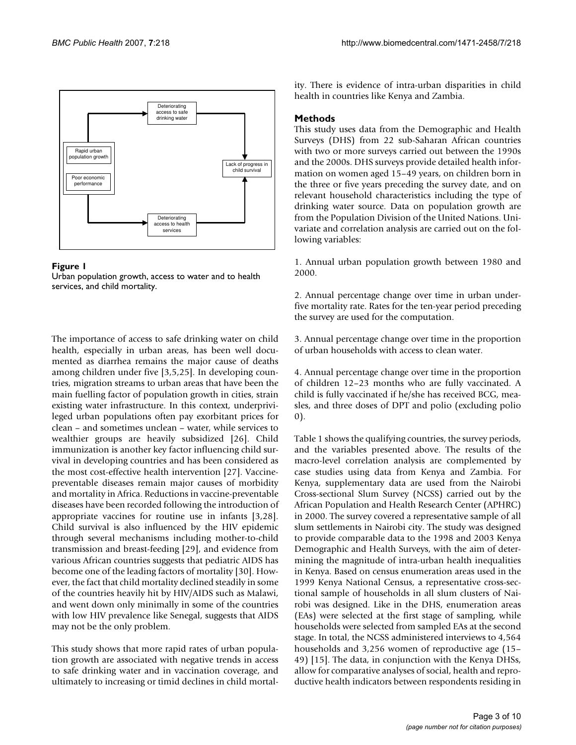



Urban population growth, access to water and to health services, and child mortality.

The importance of access to safe drinking water on child health, especially in urban areas, has been well documented as diarrhea remains the major cause of deaths among children under five [3,5,25]. In developing countries, migration streams to urban areas that have been the main fuelling factor of population growth in cities, strain existing water infrastructure. In this context, underprivileged urban populations often pay exorbitant prices for clean – and sometimes unclean – water, while services to wealthier groups are heavily subsidized [26]. Child immunization is another key factor influencing child survival in developing countries and has been considered as the most cost-effective health intervention [27]. Vaccinepreventable diseases remain major causes of morbidity and mortality in Africa. Reductions in vaccine-preventable diseases have been recorded following the introduction of appropriate vaccines for routine use in infants [3,28]. Child survival is also influenced by the HIV epidemic through several mechanisms including mother-to-child transmission and breast-feeding [29], and evidence from various African countries suggests that pediatric AIDS has become one of the leading factors of mortality [30]. However, the fact that child mortality declined steadily in some of the countries heavily hit by HIV/AIDS such as Malawi, and went down only minimally in some of the countries with low HIV prevalence like Senegal, suggests that AIDS may not be the only problem.

This study shows that more rapid rates of urban population growth are associated with negative trends in access to safe drinking water and in vaccination coverage, and ultimately to increasing or timid declines in child mortality. There is evidence of intra-urban disparities in child health in countries like Kenya and Zambia.

# **Methods**

This study uses data from the Demographic and Health Surveys (DHS) from 22 sub-Saharan African countries with two or more surveys carried out between the 1990s and the 2000s. DHS surveys provide detailed health information on women aged 15–49 years, on children born in the three or five years preceding the survey date, and on relevant household characteristics including the type of drinking water source. Data on population growth are from the Population Division of the United Nations. Univariate and correlation analysis are carried out on the following variables:

1. Annual urban population growth between 1980 and 2000.

2. Annual percentage change over time in urban underfive mortality rate. Rates for the ten-year period preceding the survey are used for the computation.

3. Annual percentage change over time in the proportion of urban households with access to clean water.

4. Annual percentage change over time in the proportion of children 12–23 months who are fully vaccinated. A child is fully vaccinated if he/she has received BCG, measles, and three doses of DPT and polio (excluding polio 0).

Table 1 shows the qualifying countries, the survey periods, and the variables presented above. The results of the macro-level correlation analysis are complemented by case studies using data from Kenya and Zambia. For Kenya, supplementary data are used from the Nairobi Cross-sectional Slum Survey (NCSS) carried out by the African Population and Health Research Center (APHRC) in 2000. The survey covered a representative sample of all slum settlements in Nairobi city. The study was designed to provide comparable data to the 1998 and 2003 Kenya Demographic and Health Surveys, with the aim of determining the magnitude of intra-urban health inequalities in Kenya. Based on census enumeration areas used in the 1999 Kenya National Census, a representative cross-sectional sample of households in all slum clusters of Nairobi was designed. Like in the DHS, enumeration areas (EAs) were selected at the first stage of sampling, while households were selected from sampled EAs at the second stage. In total, the NCSS administered interviews to 4,564 households and 3,256 women of reproductive age (15– 49) [15]. The data, in conjunction with the Kenya DHSs, allow for comparative analyses of social, health and reproductive health indicators between respondents residing in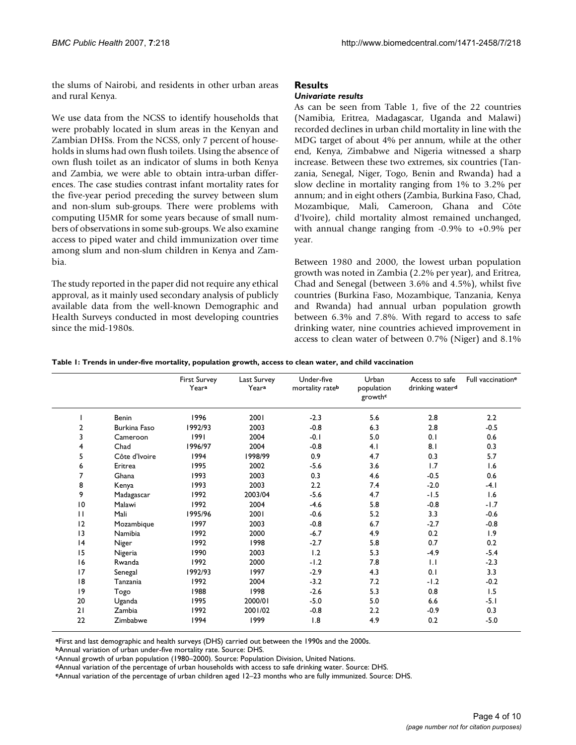the slums of Nairobi, and residents in other urban areas and rural Kenya.

We use data from the NCSS to identify households that were probably located in slum areas in the Kenyan and Zambian DHSs. From the NCSS, only 7 percent of households in slums had own flush toilets. Using the absence of own flush toilet as an indicator of slums in both Kenya and Zambia, we were able to obtain intra-urban differences. The case studies contrast infant mortality rates for the five-year period preceding the survey between slum and non-slum sub-groups. There were problems with computing U5MR for some years because of small numbers of observations in some sub-groups. We also examine access to piped water and child immunization over time among slum and non-slum children in Kenya and Zambia.

The study reported in the paper did not require any ethical approval, as it mainly used secondary analysis of publicly available data from the well-known Demographic and Health Surveys conducted in most developing countries since the mid-1980s.

# **Results**

#### *Univariate results*

As can be seen from Table 1, five of the 22 countries (Namibia, Eritrea, Madagascar, Uganda and Malawi) recorded declines in urban child mortality in line with the MDG target of about 4% per annum, while at the other end, Kenya, Zimbabwe and Nigeria witnessed a sharp increase. Between these two extremes, six countries (Tanzania, Senegal, Niger, Togo, Benin and Rwanda) had a slow decline in mortality ranging from 1% to 3.2% per annum; and in eight others (Zambia, Burkina Faso, Chad, Mozambique, Mali, Cameroon, Ghana and Côte d'Ivoire), child mortality almost remained unchanged, with annual change ranging from -0.9% to +0.9% per year.

Between 1980 and 2000, the lowest urban population growth was noted in Zambia (2.2% per year), and Eritrea, Chad and Senegal (between 3.6% and 4.5%), whilst five countries (Burkina Faso, Mozambique, Tanzania, Kenya and Rwanda) had annual urban population growth between 6.3% and 7.8%. With regard to access to safe drinking water, nine countries achieved improvement in access to clean water of between 0.7% (Niger) and 8.1%

|              |                     | <b>First Survey</b><br>Yeara | Last Survey<br>Yeara | Under-five<br>mortality rateb | Urban<br>population<br>growth <sup>c</sup> | Access to safe<br>drinking water <sup>d</sup> | Full vaccination <sup>e</sup> |
|--------------|---------------------|------------------------------|----------------------|-------------------------------|--------------------------------------------|-----------------------------------------------|-------------------------------|
|              | <b>Benin</b>        | 1996                         | 2001                 | $-2.3$                        | 5.6                                        | 2.8                                           | 2.2                           |
| 2            | <b>Burkina Faso</b> | 1992/93                      | 2003                 | $-0.8$                        | 6.3                                        | 2.8                                           | $-0.5$                        |
| 3            | Cameroon            | 1991                         | 2004                 | $-0.1$                        | 5.0                                        | 0.1                                           | 0.6                           |
| 4            | Chad                | 1996/97                      | 2004                 | $-0.8$                        | 4.1                                        | 8.1                                           | 0.3                           |
| 5            | Côte d'Ivoire       | 1994                         | 1998/99              | 0.9                           | 4.7                                        | 0.3                                           | 5.7                           |
| 6            | Eritrea             | 1995                         | 2002                 | $-5.6$                        | 3.6                                        | 1.7                                           | 1.6                           |
| 7            | Ghana               | 1993                         | 2003                 | 0.3                           | 4.6                                        | $-0.5$                                        | 0.6                           |
| 8            | Kenya               | 1993                         | 2003                 | 2.2                           | 7.4                                        | $-2.0$                                        | $-4.1$                        |
| 9            | Madagascar          | 1992                         | 2003/04              | $-5.6$                        | 4.7                                        | $-1.5$                                        | 1.6                           |
| 10           | Malawi              | 1992                         | 2004                 | $-4.6$                        | 5.8                                        | $-0.8$                                        | $-1.7$                        |
| $\mathbf{H}$ | Mali                | 1995/96                      | 2001                 | $-0.6$                        | 5.2                                        | 3.3                                           | $-0.6$                        |
| 12           | Mozambique          | 1997                         | 2003                 | $-0.8$                        | 6.7                                        | $-2.7$                                        | $-0.8$                        |
| 13           | Namibia             | 1992                         | 2000                 | $-6.7$                        | 4.9                                        | 0.2                                           | 1.9                           |
| 4            | Niger               | 1992                         | 1998                 | $-2.7$                        | 5.8                                        | 0.7                                           | 0.2                           |
| 15           | Nigeria             | 1990                         | 2003                 | 1.2                           | 5.3                                        | $-4.9$                                        | $-5.4$                        |
| 16           | Rwanda              | 1992                         | 2000                 | $-1.2$                        | 7.8                                        | 1.1                                           | $-2.3$                        |
| 17           | Senegal             | 1992/93                      | 1997                 | $-2.9$                        | 4.3                                        | 0.1                                           | 3.3                           |
| 18           | Tanzania            | 1992                         | 2004                 | $-3.2$                        | 7.2                                        | $-1.2$                                        | $-0.2$                        |
| 19           | Togo                | 1988                         | 1998                 | $-2.6$                        | 5.3                                        | 0.8                                           | 1.5                           |
| 20           | Uganda              | 1995                         | 2000/01              | $-5.0$                        | 5.0                                        | 6.6                                           | $-5.1$                        |
| 21           | Zambia              | 1992                         | 2001/02              | $-0.8$                        | 2.2                                        | $-0.9$                                        | 0.3                           |
| 22           | Zimbabwe            | 1994                         | 1999                 | 1.8                           | 4.9                                        | 0.2                                           | $-5.0$                        |

**Table 1: Trends in under-five mortality, population growth, access to clean water, and child vaccination**

**<sup>a</sup>**First and last demographic and health surveys (DHS) carried out between the 1990s and the 2000s.

**<sup>b</sup>**Annual variation of urban under-five mortality rate. Source: DHS.

**<sup>c</sup>**Annual growth of urban population (1980–2000). Source: Population Division, United Nations.

**<sup>d</sup>**Annual variation of the percentage of urban households with access to safe drinking water. Source: DHS.

**e**Annual variation of the percentage of urban children aged 12–23 months who are fully immunized. Source: DHS.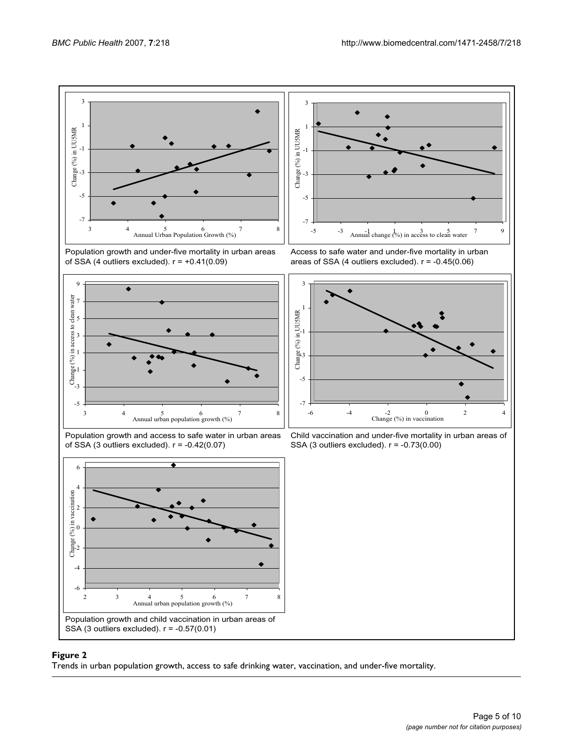-7 -5 -3 -1 1 3 345678 Annual Urban Population Growth (%) Change (%) in UU5MR





Population growth and access to safe water in urban areas of SSA (3 outliers excluded).  $r = -0.42(0.07)$ 









Child vaccination and under-five mortality in urban areas of SSA (3 outliers excluded). r = -0.73(0.00)

# Trends in urban population growth **Figure 2** , access to safe drinking water, vaccination, and under-five mortality

Trends in urban population growth, access to safe drinking water, vaccination, and under-five mortality.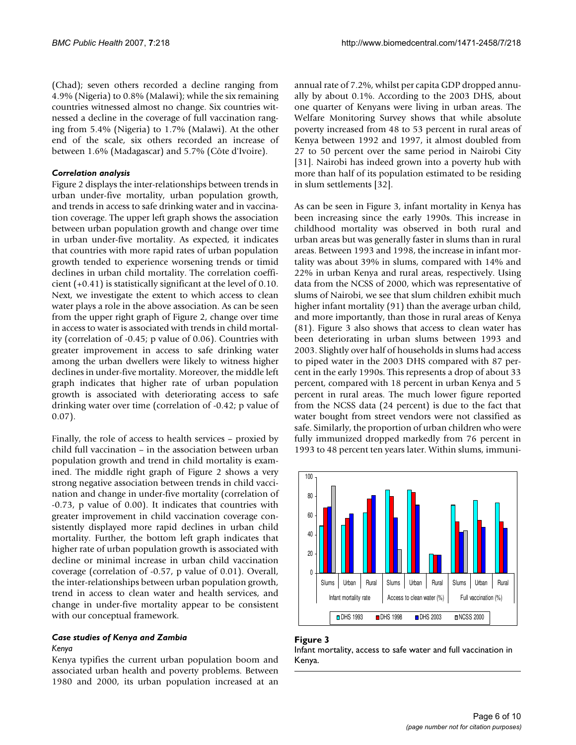(Chad); seven others recorded a decline ranging from 4.9% (Nigeria) to 0.8% (Malawi); while the six remaining countries witnessed almost no change. Six countries witnessed a decline in the coverage of full vaccination ranging from 5.4% (Nigeria) to 1.7% (Malawi). At the other end of the scale, six others recorded an increase of between 1.6% (Madagascar) and 5.7% (Côte d'Ivoire).

#### *Correlation analysis*

Figure 2 displays the inter-relationships between trends in urban under-five mortality, urban population growth, and trends in access to safe drinking water and in vaccination coverage. The upper left graph shows the association between urban population growth and change over time in urban under-five mortality. As expected, it indicates that countries with more rapid rates of urban population growth tended to experience worsening trends or timid declines in urban child mortality. The correlation coefficient (+0.41) is statistically significant at the level of 0.10. Next, we investigate the extent to which access to clean water plays a role in the above association. As can be seen from the upper right graph of Figure 2, change over time in access to water is associated with trends in child mortality (correlation of -0.45; p value of 0.06). Countries with greater improvement in access to safe drinking water among the urban dwellers were likely to witness higher declines in under-five mortality. Moreover, the middle left graph indicates that higher rate of urban population growth is associated with deteriorating access to safe drinking water over time (correlation of -0.42; p value of 0.07).

Finally, the role of access to health services – proxied by child full vaccination – in the association between urban population growth and trend in child mortality is examined. The middle right graph of Figure 2 shows a very strong negative association between trends in child vaccination and change in under-five mortality (correlation of -0.73, p value of 0.00). It indicates that countries with greater improvement in child vaccination coverage consistently displayed more rapid declines in urban child mortality. Further, the bottom left graph indicates that higher rate of urban population growth is associated with decline or minimal increase in urban child vaccination coverage (correlation of -0.57, p value of 0.01). Overall, the inter-relationships between urban population growth, trend in access to clean water and health services, and change in under-five mortality appear to be consistent with our conceptual framework.

#### *Case studies of Kenya and Zambia Kenya*

Kenya typifies the current urban population boom and associated urban health and poverty problems. Between 1980 and 2000, its urban population increased at an

annual rate of 7.2%, whilst per capita GDP dropped annually by about 0.1%. According to the 2003 DHS, about one quarter of Kenyans were living in urban areas. The Welfare Monitoring Survey shows that while absolute poverty increased from 48 to 53 percent in rural areas of Kenya between 1992 and 1997, it almost doubled from 27 to 50 percent over the same period in Nairobi City [31]. Nairobi has indeed grown into a poverty hub with more than half of its population estimated to be residing in slum settlements [32].

As can be seen in Figure 3, infant mortality in Kenya has been increasing since the early 1990s. This increase in childhood mortality was observed in both rural and urban areas but was generally faster in slums than in rural areas. Between 1993 and 1998, the increase in infant mortality was about 39% in slums, compared with 14% and 22% in urban Kenya and rural areas, respectively. Using data from the NCSS of 2000, which was representative of slums of Nairobi, we see that slum children exhibit much higher infant mortality (91) than the average urban child, and more importantly, than those in rural areas of Kenya (81). Figure 3 also shows that access to clean water has been deteriorating in urban slums between 1993 and 2003. Slightly over half of households in slums had access to piped water in the 2003 DHS compared with 87 percent in the early 1990s. This represents a drop of about 33 percent, compared with 18 percent in urban Kenya and 5 percent in rural areas. The much lower figure reported from the NCSS data (24 percent) is due to the fact that water bought from street vendors were not classified as safe. Similarly, the proportion of urban children who were fully immunized dropped markedly from 76 percent in 1993 to 48 percent ten years later. Within slums, immuni-



#### **Figure 3**

Infant mortality, access to safe water and full vaccination in Kenya.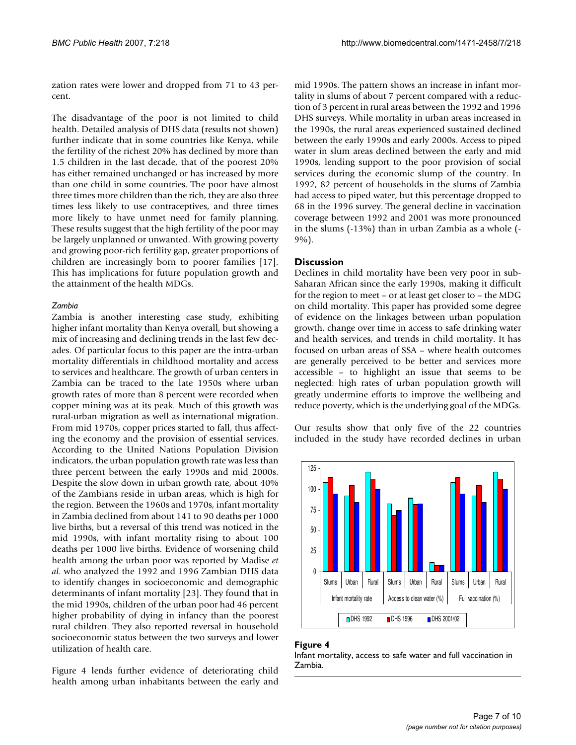zation rates were lower and dropped from 71 to 43 percent.

The disadvantage of the poor is not limited to child health. Detailed analysis of DHS data (results not shown) further indicate that in some countries like Kenya, while the fertility of the richest 20% has declined by more than 1.5 children in the last decade, that of the poorest 20% has either remained unchanged or has increased by more than one child in some countries. The poor have almost three times more children than the rich, they are also three times less likely to use contraceptives, and three times more likely to have unmet need for family planning. These results suggest that the high fertility of the poor may be largely unplanned or unwanted. With growing poverty and growing poor-rich fertility gap, greater proportions of children are increasingly born to poorer families [17]. This has implications for future population growth and the attainment of the health MDGs.

#### *Zambia*

Zambia is another interesting case study, exhibiting higher infant mortality than Kenya overall, but showing a mix of increasing and declining trends in the last few decades. Of particular focus to this paper are the intra-urban mortality differentials in childhood mortality and access to services and healthcare. The growth of urban centers in Zambia can be traced to the late 1950s where urban growth rates of more than 8 percent were recorded when copper mining was at its peak. Much of this growth was rural-urban migration as well as international migration. From mid 1970s, copper prices started to fall, thus affecting the economy and the provision of essential services. According to the United Nations Population Division indicators, the urban population growth rate was less than three percent between the early 1990s and mid 2000s. Despite the slow down in urban growth rate, about 40% of the Zambians reside in urban areas, which is high for the region. Between the 1960s and 1970s, infant mortality in Zambia declined from about 141 to 90 deaths per 1000 live births, but a reversal of this trend was noticed in the mid 1990s, with infant mortality rising to about 100 deaths per 1000 live births. Evidence of worsening child health among the urban poor was reported by Madise *et al*. who analyzed the 1992 and 1996 Zambian DHS data to identify changes in socioeconomic and demographic determinants of infant mortality [23]. They found that in the mid 1990s, children of the urban poor had 46 percent higher probability of dying in infancy than the poorest rural children. They also reported reversal in household socioeconomic status between the two surveys and lower utilization of health care.

Figure 4 lends further evidence of deteriorating child health among urban inhabitants between the early and mid 1990s. The pattern shows an increase in infant mortality in slums of about 7 percent compared with a reduction of 3 percent in rural areas between the 1992 and 1996 DHS surveys. While mortality in urban areas increased in the 1990s, the rural areas experienced sustained declined between the early 1990s and early 2000s. Access to piped water in slum areas declined between the early and mid 1990s, lending support to the poor provision of social services during the economic slump of the country. In 1992, 82 percent of households in the slums of Zambia had access to piped water, but this percentage dropped to 68 in the 1996 survey. The general decline in vaccination coverage between 1992 and 2001 was more pronounced in the slums (-13%) than in urban Zambia as a whole (- 9%).

# **Discussion**

Declines in child mortality have been very poor in sub-Saharan African since the early 1990s, making it difficult for the region to meet – or at least get closer to – the MDG on child mortality. This paper has provided some degree of evidence on the linkages between urban population growth, change over time in access to safe drinking water and health services, and trends in child mortality. It has focused on urban areas of SSA – where health outcomes are generally perceived to be better and services more accessible – to highlight an issue that seems to be neglected: high rates of urban population growth will greatly undermine efforts to improve the wellbeing and reduce poverty, which is the underlying goal of the MDGs.

Our results show that only five of the 22 countries included in the study have recorded declines in urban



#### **Figure 4**

Infant mortality, access to safe water and full vaccination in Zambia.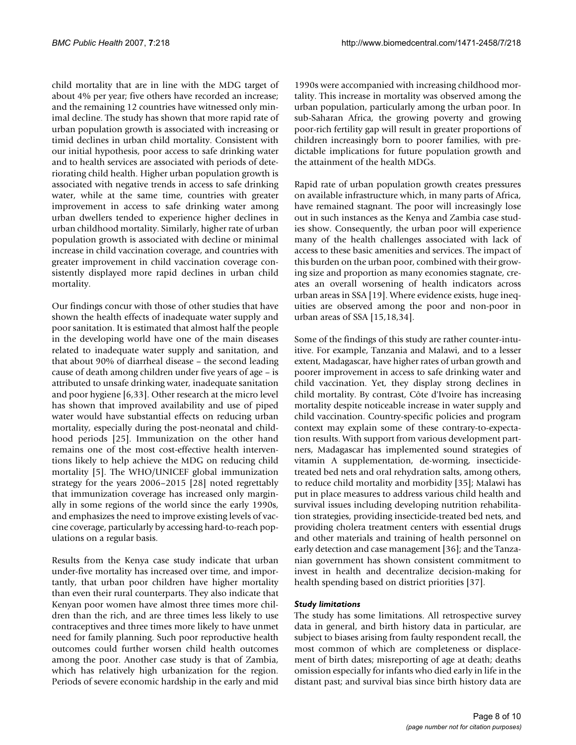child mortality that are in line with the MDG target of about 4% per year; five others have recorded an increase; and the remaining 12 countries have witnessed only minimal decline. The study has shown that more rapid rate of urban population growth is associated with increasing or timid declines in urban child mortality. Consistent with our initial hypothesis, poor access to safe drinking water and to health services are associated with periods of deteriorating child health. Higher urban population growth is associated with negative trends in access to safe drinking water, while at the same time, countries with greater improvement in access to safe drinking water among urban dwellers tended to experience higher declines in urban childhood mortality. Similarly, higher rate of urban population growth is associated with decline or minimal increase in child vaccination coverage, and countries with greater improvement in child vaccination coverage consistently displayed more rapid declines in urban child mortality.

Our findings concur with those of other studies that have shown the health effects of inadequate water supply and poor sanitation. It is estimated that almost half the people in the developing world have one of the main diseases related to inadequate water supply and sanitation, and that about 90% of diarrheal disease – the second leading cause of death among children under five years of age – is attributed to unsafe drinking water, inadequate sanitation and poor hygiene [6,33]. Other research at the micro level has shown that improved availability and use of piped water would have substantial effects on reducing urban mortality, especially during the post-neonatal and childhood periods [25]. Immunization on the other hand remains one of the most cost-effective health interventions likely to help achieve the MDG on reducing child mortality [5]. The WHO/UNICEF global immunization strategy for the years 2006–2015 [28] noted regrettably that immunization coverage has increased only marginally in some regions of the world since the early 1990s, and emphasizes the need to improve existing levels of vaccine coverage, particularly by accessing hard-to-reach populations on a regular basis.

Results from the Kenya case study indicate that urban under-five mortality has increased over time, and importantly, that urban poor children have higher mortality than even their rural counterparts. They also indicate that Kenyan poor women have almost three times more children than the rich, and are three times less likely to use contraceptives and three times more likely to have unmet need for family planning. Such poor reproductive health outcomes could further worsen child health outcomes among the poor. Another case study is that of Zambia, which has relatively high urbanization for the region. Periods of severe economic hardship in the early and mid

1990s were accompanied with increasing childhood mortality. This increase in mortality was observed among the urban population, particularly among the urban poor. In sub-Saharan Africa, the growing poverty and growing poor-rich fertility gap will result in greater proportions of children increasingly born to poorer families, with predictable implications for future population growth and the attainment of the health MDGs.

Rapid rate of urban population growth creates pressures on available infrastructure which, in many parts of Africa, have remained stagnant. The poor will increasingly lose out in such instances as the Kenya and Zambia case studies show. Consequently, the urban poor will experience many of the health challenges associated with lack of access to these basic amenities and services. The impact of this burden on the urban poor, combined with their growing size and proportion as many economies stagnate, creates an overall worsening of health indicators across urban areas in SSA [19]. Where evidence exists, huge inequities are observed among the poor and non-poor in urban areas of SSA [15,18,34].

Some of the findings of this study are rather counter-intuitive. For example, Tanzania and Malawi, and to a lesser extent, Madagascar, have higher rates of urban growth and poorer improvement in access to safe drinking water and child vaccination. Yet, they display strong declines in child mortality. By contrast, Côte d'Ivoire has increasing mortality despite noticeable increase in water supply and child vaccination. Country-specific policies and program context may explain some of these contrary-to-expectation results. With support from various development partners, Madagascar has implemented sound strategies of vitamin A supplementation, de-worming, insecticidetreated bed nets and oral rehydration salts, among others, to reduce child mortality and morbidity [35]; Malawi has put in place measures to address various child health and survival issues including developing nutrition rehabilitation strategies, providing insecticide-treated bed nets, and providing cholera treatment centers with essential drugs and other materials and training of health personnel on early detection and case management [36]; and the Tanzanian government has shown consistent commitment to invest in health and decentralize decision-making for health spending based on district priorities [37].

### *Study limitations*

The study has some limitations. All retrospective survey data in general, and birth history data in particular, are subject to biases arising from faulty respondent recall, the most common of which are completeness or displacement of birth dates; misreporting of age at death; deaths omission especially for infants who died early in life in the distant past; and survival bias since birth history data are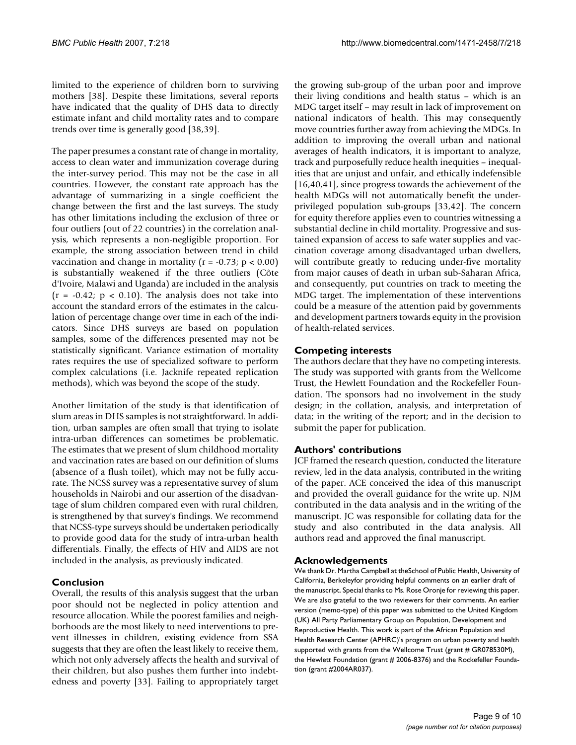limited to the experience of children born to surviving mothers [38]. Despite these limitations, several reports have indicated that the quality of DHS data to directly estimate infant and child mortality rates and to compare trends over time is generally good [38,39].

The paper presumes a constant rate of change in mortality, access to clean water and immunization coverage during the inter-survey period. This may not be the case in all countries. However, the constant rate approach has the advantage of summarizing in a single coefficient the change between the first and the last surveys. The study has other limitations including the exclusion of three or four outliers (out of 22 countries) in the correlation analysis, which represents a non-negligible proportion. For example, the strong association between trend in child vaccination and change in mortality ( $r = -0.73$ ;  $p < 0.00$ ) is substantially weakened if the three outliers (Côte d'Ivoire, Malawi and Uganda) are included in the analysis  $(r = -0.42; p < 0.10)$ . The analysis does not take into account the standard errors of the estimates in the calculation of percentage change over time in each of the indicators. Since DHS surveys are based on population samples, some of the differences presented may not be statistically significant. Variance estimation of mortality rates requires the use of specialized software to perform complex calculations (i.e. Jacknife repeated replication methods), which was beyond the scope of the study.

Another limitation of the study is that identification of slum areas in DHS samples is not straightforward. In addition, urban samples are often small that trying to isolate intra-urban differences can sometimes be problematic. The estimates that we present of slum childhood mortality and vaccination rates are based on our definition of slums (absence of a flush toilet), which may not be fully accurate. The NCSS survey was a representative survey of slum households in Nairobi and our assertion of the disadvantage of slum children compared even with rural children, is strengthened by that survey's findings. We recommend that NCSS-type surveys should be undertaken periodically to provide good data for the study of intra-urban health differentials. Finally, the effects of HIV and AIDS are not included in the analysis, as previously indicated.

# **Conclusion**

Overall, the results of this analysis suggest that the urban poor should not be neglected in policy attention and resource allocation. While the poorest families and neighborhoods are the most likely to need interventions to prevent illnesses in children, existing evidence from SSA suggests that they are often the least likely to receive them, which not only adversely affects the health and survival of their children, but also pushes them further into indebtedness and poverty [33]. Failing to appropriately target

the growing sub-group of the urban poor and improve their living conditions and health status – which is an MDG target itself – may result in lack of improvement on national indicators of health. This may consequently move countries further away from achieving the MDGs. In addition to improving the overall urban and national averages of health indicators, it is important to analyze, track and purposefully reduce health inequities – inequalities that are unjust and unfair, and ethically indefensible [16,40,41], since progress towards the achievement of the health MDGs will not automatically benefit the underprivileged population sub-groups [33,42]. The concern for equity therefore applies even to countries witnessing a substantial decline in child mortality. Progressive and sustained expansion of access to safe water supplies and vaccination coverage among disadvantaged urban dwellers, will contribute greatly to reducing under-five mortality from major causes of death in urban sub-Saharan Africa, and consequently, put countries on track to meeting the MDG target. The implementation of these interventions could be a measure of the attention paid by governments and development partners towards equity in the provision of health-related services.

# **Competing interests**

The authors declare that they have no competing interests. The study was supported with grants from the Wellcome Trust, the Hewlett Foundation and the Rockefeller Foundation. The sponsors had no involvement in the study design; in the collation, analysis, and interpretation of data; in the writing of the report; and in the decision to submit the paper for publication.

### **Authors' contributions**

JCF framed the research question, conducted the literature review, led in the data analysis, contributed in the writing of the paper. ACE conceived the idea of this manuscript and provided the overall guidance for the write up. NJM contributed in the data analysis and in the writing of the manuscript. JC was responsible for collating data for the study and also contributed in the data analysis. All authors read and approved the final manuscript.

### **Acknowledgements**

We thank Dr. Martha Campbell at theSchool of Public Health, University of California, Berkeleyfor providing helpful comments on an earlier draft of the manuscript. Special thanks to Ms. Rose Oronje for reviewing this paper. We are also grateful to the two reviewers for their comments. An earlier version (memo-type) of this paper was submitted to the United Kingdom (UK) All Party Parliamentary Group on Population, Development and Reproductive Health. This work is part of the African Population and Health Research Center (APHRC)'s program on urban poverty and health supported with grants from the Wellcome Trust (grant # GR078530M), the Hewlett Foundation (grant # 2006-8376) and the Rockefeller Foundation (grant #2004AR037).